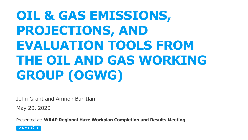# **OIL & GAS EMISSIONS, PROJECTIONS, AND EVALUATION TOOLS FROM THE OIL AND GAS WORKING GROUP (OGWG)**

John Grant and Amnon Bar-Ilan

May 20, 2020

Presented at: **WRAP Regional Haze Workplan Completion and Results Meeting**

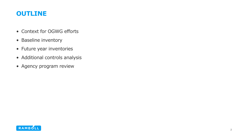#### **OUTLINE**

- Context for OGWG efforts
- Baseline inventory
- Future year inventories
- Additional controls analysis
- Agency program review

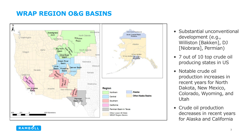# **WRAP REGION O&G BASINS**



- Substantial unconventional development (e.g., Williston [Bakken], DJ [Niobrara], Permian)
- 7 out of 10 top crude oil producing states in US
- Notable crude oil production increases in recent years for North Dakota, New Mexico, Colorado, Wyoming, and Utah
- Crude oil production decreases in recent years for Alaska and California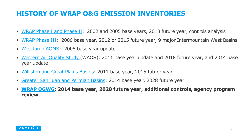# **HISTORY OF WRAP O&G EMISSION INVENTORIES**

- [WRAP Phase I and Phase II:](https://www.wrapair.org/forums/ogwg/Phases_I_and_II_Inventories.html) 2002 and 2005 base years, 2018 future year, controls analysis
- [WRAP Phase III:](https://www.wrapair2.org/PhaseIII.aspx) 2006 base year, 2012 or 2015 future year, 9 major Intermountain West Basins
- [WestJump AQMS:](https://www.wrapair2.org/WestJumpAQMS.aspx) 2008 base year update
- [Western Air Quality Study](http://views.cira.colostate.edu/wiki/#WAQS) (WAQS): 2011 base year update and 2018 future year, and 2014 base year update
- [Williston and Great Plains Basins:](https://www.wrapair2.org/ND-SD-MT.aspx) 2011 base year, 2015 future year
- [Greater San Juan and Permian Basins:](https://www.wrapair2.org/SanJuanPermian.aspx) 2014 base year, 2028 future year
- **[WRAP OGWG:](https://www.wrapair2.org/OGWG.aspx) 2014 base year, 2028 future year, additional controls, agency program review**

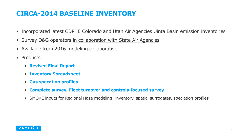# **CIRCA-2014 BASELINE INVENTORY**

- Incorporated latest CDPHE Colorado and Utah Air Agencies Uinta Basin emission inventories
- Survey O&G operators in collaboration with State Air Agencies
- Available from 2016 modeling collaborative
- Products
	- **[Revised Final Report](https://www.wrapair2.org/pdf/WRAP_OGWG_Report_Baseline_17Sep2019.pdf)**
	- **[Inventory Spreadsheet](https://www.wrapair2.org/pdf/WESTAR_OGWG_Emissions_Inventory_2014_Webdistribution_090919_nolink.xlsx)**
	- **[Gas specation](https://www.wrapair2.org/pdf/WRAP_OGWG_GasComp_18Jul2019.pdf) profiles**
	- **[Complete survey,](https://www.wrapair2.org/pdf/WRAP_OGWG_Survey_SelectSrc_08Jan2019.xlsx) [Fleet turnover and controls-focused survey](https://www.wrapair2.org/pdf/WRAP_OGWG_Survey_ControlsOnly_08Jan2019.xlsx)**
	- SMOKE inputs for Regional Haze modeling: inventory, spatial surrogates, speciation profiles

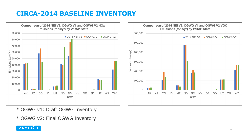# **CIRCA-2014 BASELINE INVENTORY**



Comparison of 2014 NEI V2, OGWG V1 and OGWG V2 VOC **Emissions (tons/yr) by WRAP State** 600,000  $\blacksquare$  2014 NEI V2  $\blacksquare$  OGWG V1  $\blacksquare$  OGWG V2 500,000 400,000 300,000 200,000 100,000 **TALL**  $\Omega$ AK AZ  $CO$ **OR SD** UT **WA**  $ID$ **ND NM NV WY MT** State

- \* OGWG v1: Draft OGWG Inventory
- \* OGWG v2: Final OGWG Inventory

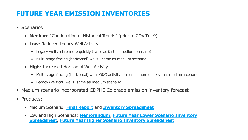# **FUTURE YEAR EMISSION INVENTORIES**

- Scenarios:
	- **Medium**: "Continuation of Historical Trends" (prior to COVID-19)
	- **Low**: Reduced Legacy Well Activity
		- Legacy wells retire more quickly (twice as fast as medium scenario)
		- Multi-stage fracing (horizontal) wells: same as medium scenario
	- **High**: Increased Horizontal Well Activity
		- Multi-stage fracing (horizontal) wells O&G activity increases more quickly that medium scenario
		- Legacy (vertical) wells: same as medium scenario
- Medium scenario incorporated CDPHE Colorado emission inventory forecast
- Products:
	- Medium Scenario: **[Final Report](https://www.wrapair2.org/pdf/WRAP_OGWG_2028_OTB_FinalReport_11Oct2019a.pdf)** and **[Inventory Spreadsheet](https://www.wrapair2.org/pdf/WESTAR_OGWG_Future_Emissions_Inventory_webdist_101419_nolink.xlsx)**
	- Low and High Scenarios: **[Memorandum](https://www.wrapair2.org/pdf/WRAP_OGWG_FY_OG_LowHigh_05Mar2020.pdf)**, **Future Year Lower Scenario Inventory [Spreadsheet, Future Year Higher Scenario Inventory Spreadsheet](https://www.wrapair2.org/pdf/WESTAR_OGWG_Future_Emissions_Inventory_Low_Scenario_webdist_121619_nolink.xlsx)**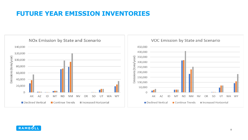# **FUTURE YEAR EMISSION INVENTORIES**



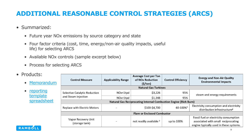# **ADDITIONAL REASONABLE CONTROL STRATEGIES (ARCS)**

- Summarized:
	- Future year NOx emissions by source category and state
	- Four factor criteria (cost, time, energy/non-air quality impacts, useful life) for selecting ARCS
	- Available NOx controls (sample excerpt below)
	- Process for selecting ARCS
- Products:

#### • reporting template [spreadsheet](https://www.wrapair2.org/pdf/ARCS_Table_06Feb2020.xlsx)

| <b>Control Measure</b>                                                  | <b>Applicability Range</b> | <b>Average Cost per Ton</b><br>of NO <sub>x</sub> Reduction<br>(5/ton) | <b>Control Efficiency</b> | <b>Energy and Non-Air Quality</b><br><b>Environmental Impacts</b> |
|-------------------------------------------------------------------------|----------------------------|------------------------------------------------------------------------|---------------------------|-------------------------------------------------------------------|
| <b>Natural Gas Turbines</b>                                             |                            |                                                                        |                           |                                                                   |
| Selective Catalytic Reduction<br>and Steam Injection                    | NOx<1tpd                   | \$3,226                                                                | 95%                       | steam and energy requirements                                     |
|                                                                         | NOx>1tpd                   | \$1,348                                                                | 95%                       |                                                                   |
| <b>Natural Gas Reciprocating Internal Combustion Engine (Rich Burn)</b> |                            |                                                                        |                           |                                                                   |
| <b>Replace with Electric Motors</b>                                     |                            | \$100-\$4,700                                                          | 60-100%h                  | Electricity consumption and electricity                           |
|                                                                         |                            |                                                                        |                           | distribution infrastructure <sup>g</sup>                          |
| <b>Flare or Enclosed Combustor</b>                                      |                            |                                                                        |                           |                                                                   |
| Vapor Recovery Unit<br>(storage tank)                                   |                            | not readily available a                                                | up to 100%                | Fossil fuel or electricity consumption                            |
|                                                                         |                            |                                                                        |                           | associated with small reciprocating                               |
|                                                                         |                            |                                                                        |                           | engine typically used in these systems.                           |

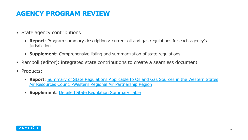# **AGENCY PROGRAM REVIEW**

- State agency contributions
	- **Report**: Program summary descriptions: current oil and gas regulations for each agency's jurisdiction
	- **Supplement**: Comprehensive listing and summarization of state regulations
- Ramboll (editor): integrated state contributions to create a seamless document
- Products:
	- **Report**[: Summary of State Regulations Applicable to Oil and Gas Sources in the Western States](https://www.wrapair2.org/pdf/Agency_Review_06Feb2020.pdf) Air Resources Council-Western Regional Air Partnership Region
	- **Supplement**: [Detailed State Regulation Summary Table](https://www.wrapair2.org/pdf/WESTAR-WRAP_Regs_AgencyReview_Supplement_06Feb2020.xlsx)

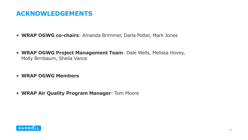#### **ACKNOWLEDGEMENTS**

- **WRAP OGWG co-chairs**: Amanda Brimmer, Darla Potter, Mark Jones
- **WRAP OGWG Project Management Team**: Dale Wells, Melissa Hovey, Molly Birnbaum, Sheila Vance
- **WRAP OGWG Members**
- **WRAP Air Quality Program Manager**: Tom Moore